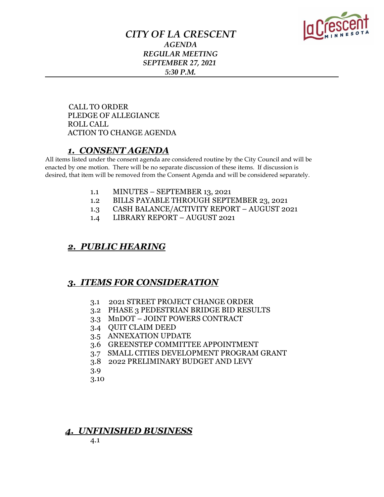

## *CITY OF LA CRESCENT AGENDA REGULAR MEETING SEPTEMBER 27, 2021 5:30 P.M.*

 CALL TO ORDER PLEDGE OF ALLEGIANCE ROLL CALL ACTION TO CHANGE AGENDA

### *1. CONSENT AGENDA*

All items listed under the consent agenda are considered routine by the City Council and will be enacted by one motion. There will be no separate discussion of these items. If discussion is desired, that item will be removed from the Consent Agenda and will be considered separately.

- 1.1 MINUTES SEPTEMBER 13, 2021
- 1.2 BILLS PAYABLE THROUGH SEPTEMBER 23, 2021
- 1.3 CASH BALANCE/ACTIVITY REPORT AUGUST 2021
- 1.4 LIBRARY REPORT AUGUST 2021

### *2. PUBLIC HEARING*

## *3. ITEMS FOR CONSIDERATION*

- 3.1 2021 STREET PROJECT CHANGE ORDER
- 3.2 PHASE 3 PEDESTRIAN BRIDGE BID RESULTS
- 3.3 MnDOT JOINT POWERS CONTRACT
- 3.4 QUIT CLAIM DEED
- 3.5 ANNEXATION UPDATE
- 3.6 GREENSTEP COMMITTEE APPOINTMENT
- 3.7 SMALL CITIES DEVELOPMENT PROGRAM GRANT
- 3.8 2022 PRELIMINARY BUDGET AND LEVY
- 3.9
- 3.10

### *4. UNFINISHED BUSINESS*

4.1